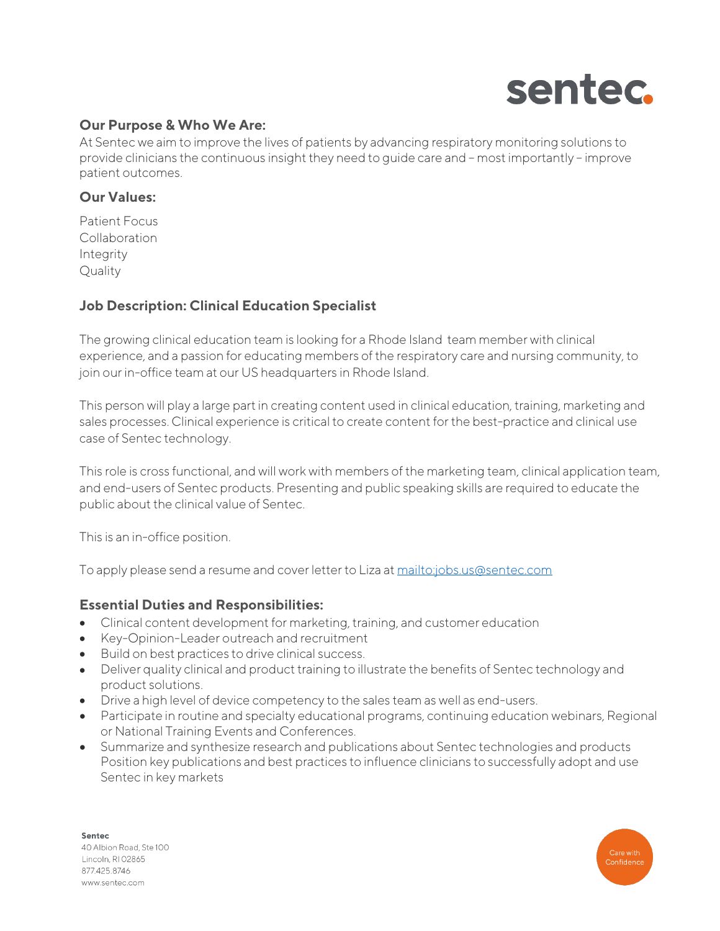

## **Our Purpose & Who We Are:**

At Sentec we aim to improve the lives of patients by advancing respiratory monitoring solutions to provide clinicians the continuous insight they need to guide care and – most importantly – improve patient outcomes.

#### **Our Values:**

Patient Focus Collaboration Integrity **Quality** 

### **Job Description: Clinical Education Specialist**

The growing clinical education team is looking for a Rhode Island team member with clinical experience, and a passion for educating members of the respiratory care and nursing community, to join our in-office team at our US headquarters in Rhode Island.

This person will play a large part in creating content used in clinical education, training, marketing and sales processes. Clinical experience is critical to create content for the best-practice and clinical use case of Sentec technology.

This role is cross functional, and will work with members of the marketing team, clinical application team, and end-users of Sentec products. Presenting and public speaking skills are required to educate the public about the clinical value of Sentec.

This is an in-office position.

To apply please send a resume and cover letter to Liza a[t mailto:jobs.us@sentec.com](mailto:jobs.us@sentec.com)

#### **Essential Duties and Responsibilities:**

- Clinical content development for marketing, training, and customer education
- Key-Opinion-Leader outreach and recruitment
- Build on best practices to drive clinical success.
- Deliver quality clinical and product training to illustrate the benefits of Sentec technology and product solutions.
- Drive a high level of device competency to the sales team as well as end-users.
- Participate in routine and specialty educational programs, continuing education webinars, Regional or National Training Events and Conferences.
- Summarize and synthesize research and publications about Sentec technologies and products Position key publications and best practices to influence clinicians to successfully adopt and use Sentec in key markets

Sentec 40 Albion Road, Ste 100 Lincoln, RI 02865 877.425.8746 www.sentec.com